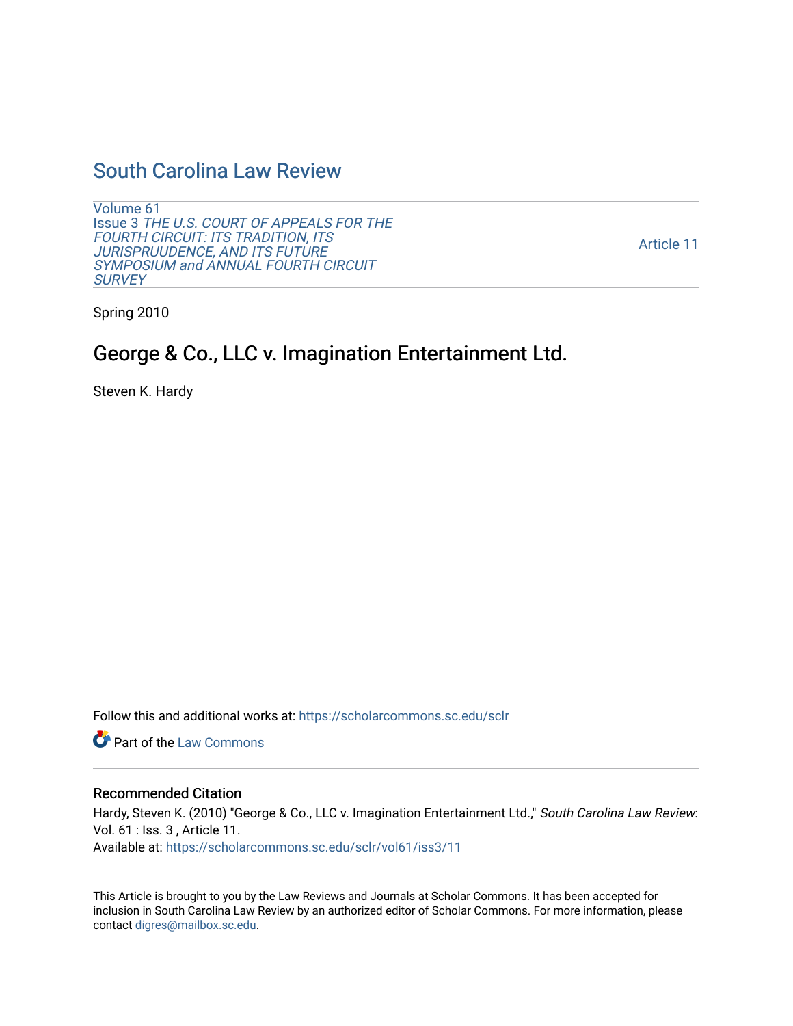## [South Carolina Law Review](https://scholarcommons.sc.edu/sclr)

[Volume 61](https://scholarcommons.sc.edu/sclr/vol61) Issue 3 [THE U.S. COURT OF APPEALS FOR THE](https://scholarcommons.sc.edu/sclr/vol61/iss3)  [FOURTH CIRCUIT: ITS TRADITION, ITS](https://scholarcommons.sc.edu/sclr/vol61/iss3) JURISPRUUDENCE, AND ITS FUTURE [SYMPOSIUM and ANNUAL FOURTH CIRCUIT](https://scholarcommons.sc.edu/sclr/vol61/iss3)  **[SURVEY](https://scholarcommons.sc.edu/sclr/vol61/iss3)** 

[Article 11](https://scholarcommons.sc.edu/sclr/vol61/iss3/11) 

Spring 2010

# George & Co., LLC v. Imagination Entertainment Ltd.

Steven K. Hardy

Follow this and additional works at: [https://scholarcommons.sc.edu/sclr](https://scholarcommons.sc.edu/sclr?utm_source=scholarcommons.sc.edu%2Fsclr%2Fvol61%2Fiss3%2F11&utm_medium=PDF&utm_campaign=PDFCoverPages)

**C** Part of the [Law Commons](http://network.bepress.com/hgg/discipline/578?utm_source=scholarcommons.sc.edu%2Fsclr%2Fvol61%2Fiss3%2F11&utm_medium=PDF&utm_campaign=PDFCoverPages)

## Recommended Citation

Hardy, Steven K. (2010) "George & Co., LLC v. Imagination Entertainment Ltd.," South Carolina Law Review: Vol. 61 : Iss. 3 , Article 11. Available at: [https://scholarcommons.sc.edu/sclr/vol61/iss3/11](https://scholarcommons.sc.edu/sclr/vol61/iss3/11?utm_source=scholarcommons.sc.edu%2Fsclr%2Fvol61%2Fiss3%2F11&utm_medium=PDF&utm_campaign=PDFCoverPages) 

This Article is brought to you by the Law Reviews and Journals at Scholar Commons. It has been accepted for inclusion in South Carolina Law Review by an authorized editor of Scholar Commons. For more information, please contact [digres@mailbox.sc.edu.](mailto:digres@mailbox.sc.edu)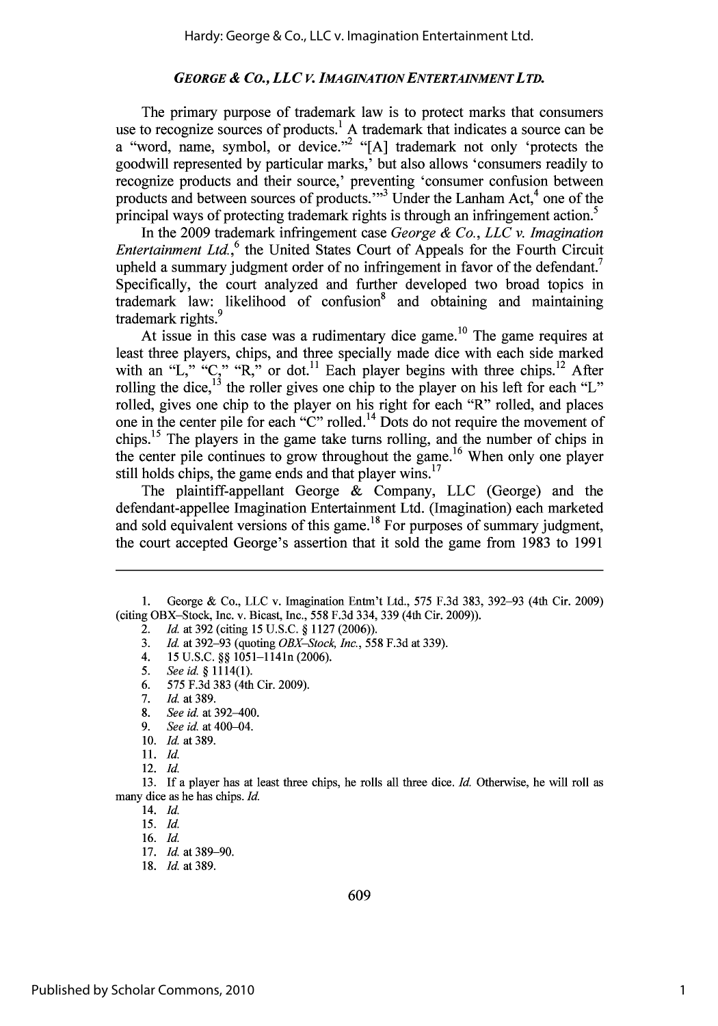## *GEORGE & Co., LLC v. IMA GINATION ENTERTAINMENT L TD.*

The primary purpose of trademark law is to protect marks that consumers use to recognize sources of products.<sup>1</sup> A trademark that indicates a source can be a "word, name, symbol, or device."<sup>2</sup> "[A] trademark not only 'protects the goodwill represented by particular marks,' but also allows 'consumers readily to recognize products and their source,' preventing 'consumer confusion between products and between sources of products."<sup>3</sup> Under the Lanham Act,<sup>4</sup> one of the principal ways of protecting trademark rights is through an infringement action.<sup>5</sup>

In the 2009 trademark infringement case *George & Co., LLC v. Imagination Entertainment Ltd.*,<sup>6</sup> the United States Court of Appeals for the Fourth Circuit upheld a summary judgment order of no infringement in favor of the defendant.<sup>7</sup> Specifically, the court analyzed and further developed two broad topics in trademark law: likelihood of confusion8 and obtaining and maintaining trademark rights.<sup>9</sup>

At issue in this case was a rudimentary dice game.<sup>10</sup> The game requires at least three players, chips, and three specially made dice with each side marked with an "L," "C," "R," or dot.<sup>11</sup> Each player begins with three chips.<sup>12</sup> After rolling the dice,  $13$  the roller gives one chip to the player on his left for each "L" rolled, gives one chip to the player on his right for each "R" rolled, and places one in the center pile for each "C" rolled. 14 Dots do not require the movement of chips. 15 The players in the game take turns rolling, and the number of chips in the center pile continues to grow throughout the game.<sup>16</sup> When only one player still holds chips, the game ends and that player wins.<sup>17</sup>

The plaintiff-appellant George & Company, LLC (George) and the defendant-appellee Imagination Entertainment Ltd. (Imagination) each marketed and sold equivalent versions of this game.<sup>18</sup> For purposes of summary judgment, the court accepted George's assertion that it sold the game from 1983 to 1991

- 4. 15 U.S.C. §§ 1051-1141n (2006).
- *5. See* id. § 1114(1).
- 6. 575 F.3d 383 (4th Cir. 2009).
- *7. Id.* at **389.**
- 8. *See id.* at 392-400.
- 9. *See* id. at 400-04.
- 10. **Id.** at 389.
- 11. **Id.**

12. **Id.**

13. If a player has at least three chips, he rolls all three dice. *Id.* Otherwise, he will roll as many dice as he has chips. **Id.**

14. **Id.**

16. **Id.**

18. *Id.* at 389.

<sup>1.</sup> George & Co., LLC v. Imagination Entm't Ltd., 575 F.3d 383, 392-93 (4th Cir. 2009) (citing OBX-Stock, Inc. v. Bicast, Inc., 558 F.3d 334, 339 (4th Cir. 2009)).

<sup>2.</sup> **Id.** at 392 (citing 15 U.S.C. § 1127 (2006)).

<sup>3.</sup> **Id.** at 392-93 (quoting *OBX-Stock, Inc.,* 558 F.3d at 339).

*<sup>15.</sup>* **Id.**

<sup>17.</sup> *Id.* at 389-90.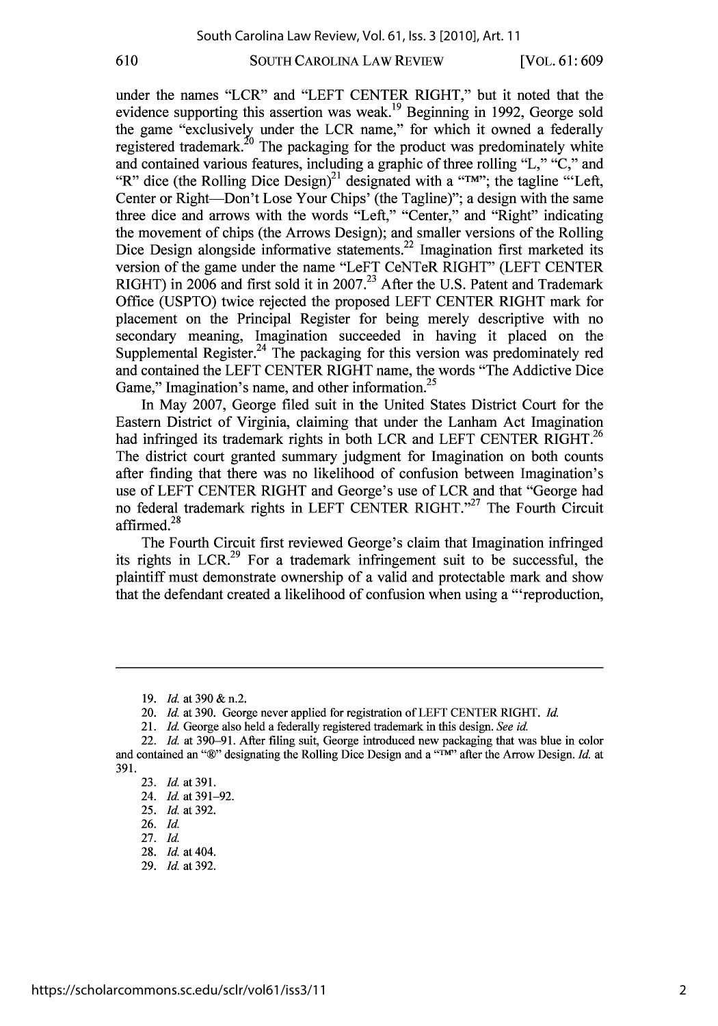#### 610

## SOUTH CAROLINA LAW REVIEW

[VOL. **61 : 609**

under the names "LCR" and "LEFT CENTER RIGHT," but it noted that the evidence supporting this assertion was weak.<sup>19</sup> Beginning in 1992, George sold the game "exclusively under the LCR name," for which it owned a federally registered trademark.<sup>20</sup> The packaging for the product was predominately white and contained various features, including a graphic of three rolling "L," "C," and "R" dice (the Rolling Dice Design)<sup>21</sup> designated with a "TM"; the tagline "Left, Center or Right-Don't Lose Your Chips' (the Tagline)"; a design with the same three dice and arrows with the words "Left," "Center," and "Right" indicating the movement of chips (the Arrows Design); and smaller versions of the Rolling Dice Design alongside informative statements.<sup>22</sup> Imagination first marketed its version of the game under the name "LeFT CeNTeR RIGHT" (LEFT CENTER RIGHT) in 2006 and first sold it in 2007.<sup>23</sup> After the U.S. Patent and Trademark Office (USPTO) twice rejected the proposed LEFT CENTER RIGHT mark for placement on the Principal Register for being merely descriptive with no secondary meaning, Imagination succeeded in having it placed on the Supplemental Register.<sup>24</sup> The packaging for this version was predominately red and contained the LEFT CENTER RIGHT name, the words "The Addictive Dice Game," Imagination's name, and other information.<sup>25</sup>

In May 2007, George filed suit in the United States District Court for the Eastern District of Virginia, claiming that under the Lanham Act Imaginationhad infringed its trademark rights in both LCR and LEFT CENTER RIGHT.<sup>26</sup> The district court granted summary judgment for Imagination on both counts after finding that there was no likelihood of confusion between Imagination's use of LEFT CENTER RIGHT and George's use of LCR and that "George had no federal trademark rights in LEFT CENTER RIGHT."<sup>27</sup> The Fourth Circuit affirmed.28

The Fourth Circuit first reviewed George's claim that Imagination infringed its rights in LCR.<sup>29</sup> For a trademark infringement suit to be successful, the plaintiff must demonstrate ownership of a valid and protectable mark and show that the defendant created a likelihood of confusion when using a "'reproduction,

<sup>19.</sup> *Id.* at 390 & n.2.

<sup>20.</sup> *Id.* at 390. George never applied for registration of LEFT CENTER RIGHT. *Id.*

<sup>21.</sup> *Id.* George also held a federally registered trademark in this design. *See id.*

<sup>22.</sup> *Id.* at 390-91. After filing suit, George introduced new packaging that was blue in color and contained an "®" designating the Rolling Dice Design and a "T<sup>M</sup>" after the Arrow Design. *Id.* at 391.

<sup>23.</sup> *Id.* at **391.**

<sup>24.</sup> *Id.* at 391-92.

<sup>25.</sup> *Id.* at 392. 26. **Id.**

<sup>27.</sup> **Id.**

<sup>28.</sup> *Id.* at 404.

<sup>29.</sup> *Id.* at 392.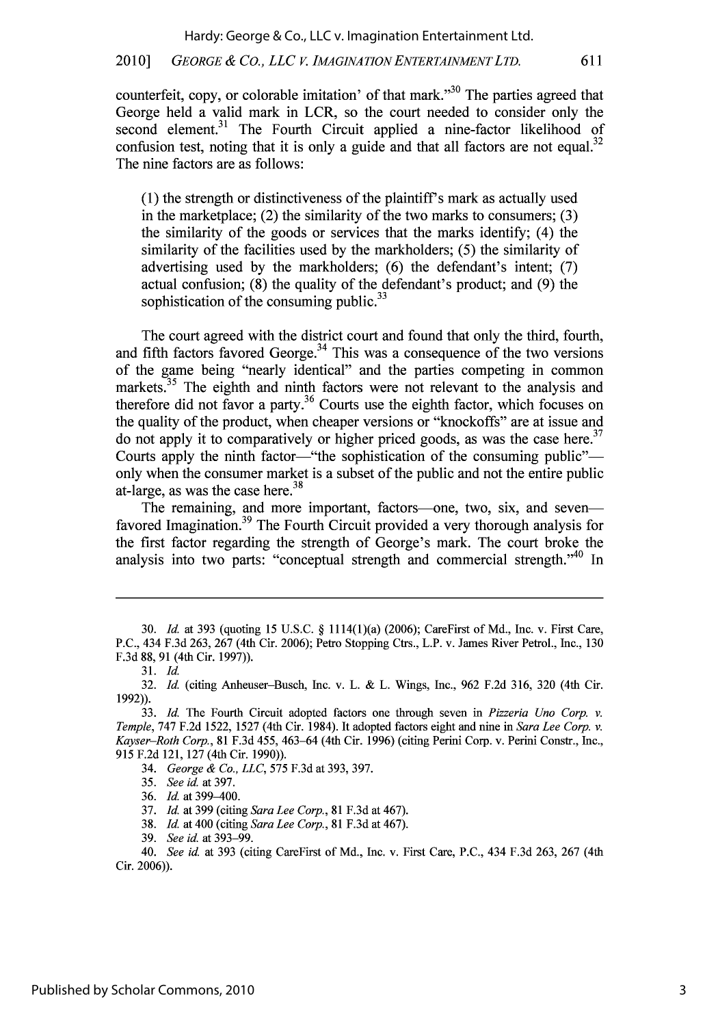## 2010] *GEORGE & CO., LLC V. IMAGINATION ENTERTAINMENT LTD.* 611

counterfeit, copy, or colorable imitation' of that mark."<sup>30</sup> The parties agreed that George held a valid mark in LCR, so the court needed to consider only the second element.<sup>31</sup> The Fourth Circuit applied a nine-factor likelihood of confusion test, noting that it is only a guide and that all factors are not equal.<sup>32</sup> The nine factors are as follows:

(1) the strength or distinctiveness of the plaintiff's mark as actually used in the marketplace; (2) the similarity of the two marks to consumers; (3) the similarity of the goods or services that the marks identify; (4) the similarity of the facilities used by the markholders; (5) the similarity of advertising used by the markholders; (6) the defendant's intent; (7) actual confusion; (8) the quality of the defendant's product; and (9) the sophistication of the consuming public. $33$ 

The court agreed with the district court and found that only the third, fourth, and fifth factors favored George.<sup>34</sup> This was a consequence of the two versions of the game being "nearly identical" and the parties competing in common markets.<sup>35</sup> The eighth and ninth factors were not relevant to the analysis and therefore did not favor a party.<sup>36</sup> Courts use the eighth factor, which focuses on the quality of the product, when cheaper versions or "knockoffs" are at issue and do not apply it to comparatively or higher priced goods, as was the case here.<sup>37</sup> Courts apply the ninth factor—"the sophistication of the consuming public" only when the consumer market is a subset of the public and not the entire public **<sup>38</sup>** at-large, as was the case here.

The remaining, and more important, factors-one, two, six, and sevenfavored Imagination.<sup>39</sup> The Fourth Circuit provided a very thorough analysis for the first factor regarding the strength of George's mark. The court broke the analysis into two parts: "conceptual strength and commercial strength."<sup>40</sup> In

37. **Id.** at 399 (citing *Sara Lee Corp.,* 81 F.3d at 467).

38. *Id.* at 400 (citing *Sara Lee Corp.,* 81 F.3d at 467).

39. *See id.* at 393-99.

<sup>30.</sup> *Id.* at 393 (quoting 15 U.S.C. § 1114(1)(a) (2006); CareFirst of Md., Inc. v. First Care, P.C., 434 F.3d 263, 267 (4th Cir. 2006); Petro Stopping Ctrs., L.P. v. James River Petrol., Inc., 130 F.3d 88, 91 (4th Cir. 1997)).

<sup>31.</sup> *Id.*

<sup>32.</sup> *Id.* (citing Anheuser-Busch, Inc. v. L. & L. Wings, Inc., 962 F.2d 316, 320 (4th Cir. 1992)).

<sup>33.</sup> **Id.** The Fourth Circuit adopted factors one through seven in *Pizzeria Uno Corp. v. Temple,* 747 F.2d 1522, 1527 (4th Cir. 1984). It adopted factors eight and nine in *Sara Lee Corp. v. Kayser-Roth Corp.,* 81 F.3d 455, 463-64 (4th Cir. 1996) (citing Perini Corp. v. Perini Constr., Inc., 915 F.2d 121, 127 (4th Cir. 1990)).

<sup>34.</sup> *George & Co., LLC,* 575 F.3d at 393, 397.

<sup>35.</sup> *See id.* at 397.

<sup>36.</sup> *Id.* at 399-400.

<sup>40.</sup> *See* id. at 393 (citing CareFirst of Md., Inc. v. First Care, P.C., 434 F.3d 263, 267 (4th Cir. 2006)).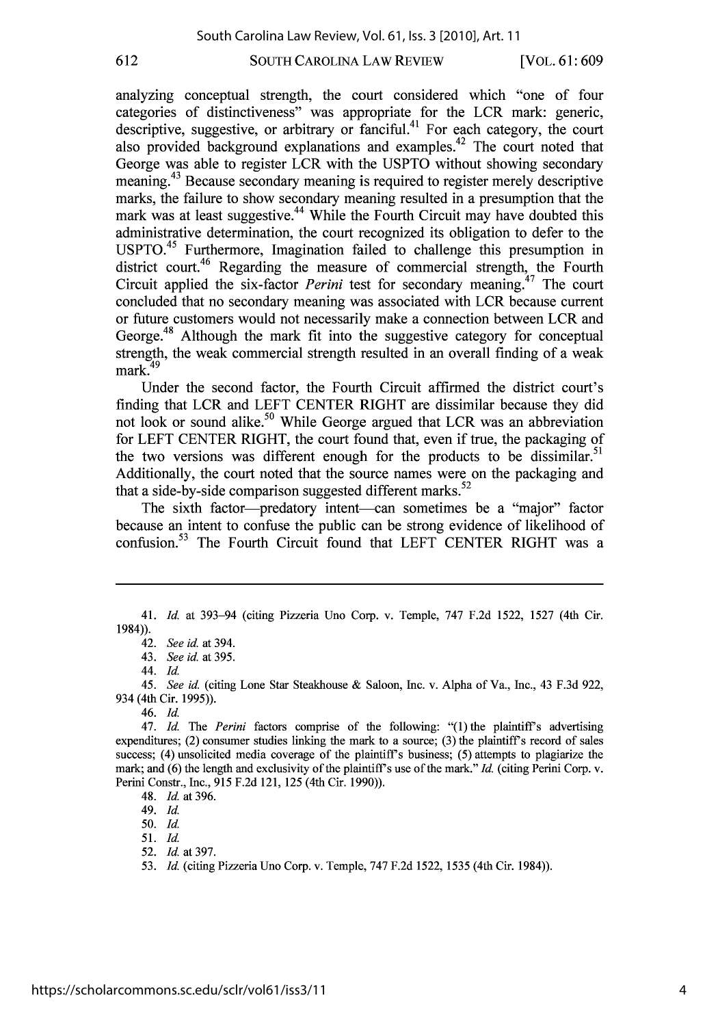#### 612

SOUTH CAROLINA LAW REVIEW

[VOL. **61 : 609**

analyzing conceptual strength, the court considered which "one of four categories of distinctiveness" was appropriate for the LCR mark: generic, descriptive, suggestive, or arbitrary or fanciful.<sup>41</sup> For each category, the court also provided background explanations and examples. <sup> $42$ </sup> The court noted that George was able to register LCR with the USPTO without showing secondary meaning.43 Because secondary meaning is required to register merely descriptive marks, the failure to show secondary meaning resulted in a presumption that the mark was at least suggestive.<sup>44</sup> While the Fourth Circuit may have doubted this administrative determination, the court recognized its obligation to defer to the  $USPTO.<sup>45</sup>$  Furthermore, Imagination failed to challenge this presumption in district court.<sup>46</sup> Regarding the measure of commercial strength, the Fourth Circuit applied the six-factor *Perini* test for secondary meaning.<sup>47</sup> The court concluded that no secondary meaning was associated with LCR because current or future customers would not necessarily make a connection between LCR and George.<sup>48</sup> Although the mark fit into the suggestive category for conceptual strength, the weak commercial strength resulted in an overall finding of a weak  $mark.<sup>49</sup>$ 

Under the second factor, the Fourth Circuit affirmed the district court's finding that LCR and LEFT CENTER RIGHT are dissimilar because they did not look or sound alike.<sup>50</sup> While George argued that LCR was an abbreviation for LEFT CENTER RIGHT, the court found that, even if true, the packaging of the two versions was different enough for the products to be dissimilar.<sup>51</sup> Additionally, the court noted that the source names were on the packaging and that a side-by-side comparison suggested different marks. $52$ 

The sixth factor-predatory intent-can sometimes be a "major" factor because an intent to confuse the public can be strong evidence of likelihood of confusion.<sup>53</sup> The Fourth Circuit found that LEFT CENTER RIGHT was a

44. **Id.**

*45. See id.* (citing Lone Star Steakhouse & Saloon, Inc. v. Alpha of Va., Inc., 43 F.3d 922, 934 (4th Cir. 1995)).

46. **Id.**

47. *Id. The Perini* factors comprise of the following: "(1)the plaintiff's advertising expenditures; (2) consumer studies linking the mark to a source; (3) the plaintiff's record of sales success; (4) unsolicited media coverage of the plaintiff's business; (5) attempts to plagiarize the mark; and (6) the length and exclusivity of the plaintiff's use of the mark." *Id.* (citing Perini Corp. v. Perini Constr., Inc., 915 F.2d 121, 125 (4th Cir. 1990)).

48. *Id.* at 396.

49. **Id.**

50. **Id.**

51. **Id.**

52. *Id.* at 397.

53. *Id.* (citing Pizzeria Uno Corp. v. Temple, 747 F.2d 1522, 1535 (4th Cir. 1984)).

<sup>41.</sup> *Id.* at 393-94 (citing Pizzeria Uno Corp. v. Temple, 747 F.2d 1522, 1527 (4th Cir. 1984)).

<sup>42.</sup> *See id.* at 394.

<sup>43.</sup> *See id.* at 395.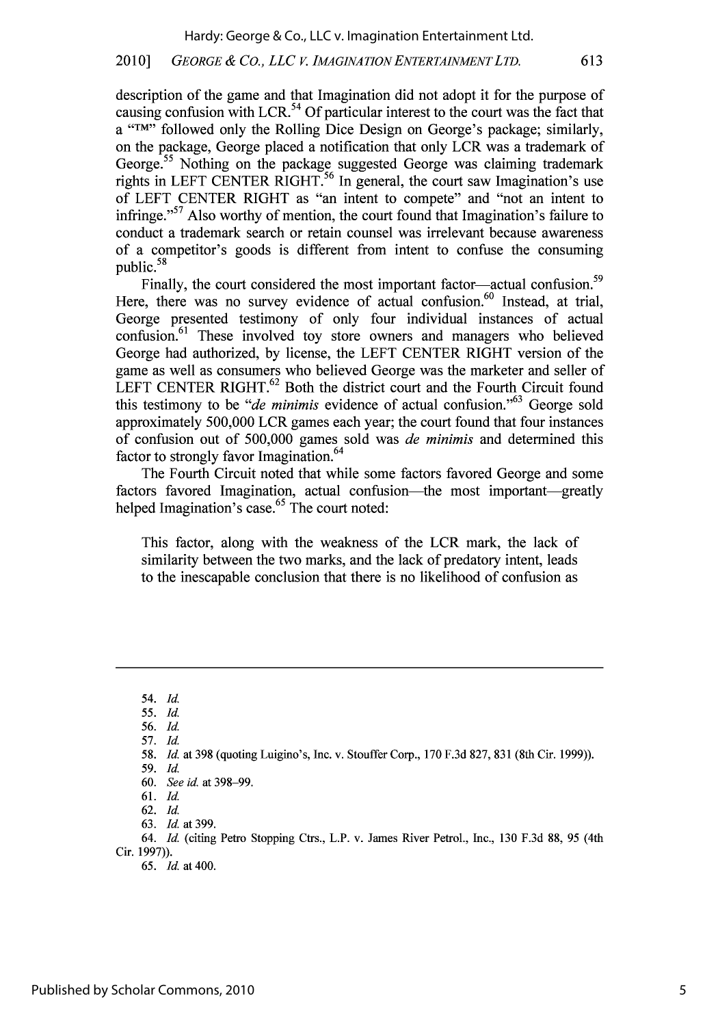## 2010] *GEORGE & Co., LLC V. IMA GINATION ENTERTAINMENTLTD.* 613

description of the game and that Imagination did not adopt it for the purpose of causing confusion with LCR.<sup>54</sup> Of particular interest to the court was the fact that a **"TM"** followed only the Rolling Dice Design on George's package; similarly, on the package, George placed a notification that only LCR was a trademark of George.<sup>55</sup> Nothing on the package suggested George was claiming trademark rights in LEFT CENTER RIGHT.<sup>56</sup> In general, the court saw Imagination's use of LEFT CENTER RIGHT as "an intent to compete" and "not an intent to infringe."<sup>57</sup> Also worthy of mention, the court found that Imagination's failure to conduct a trademark search or retain counsel was irrelevant because awareness of a competitor's goods is different from intent to confuse the consuming public.  $\frac{64}{58}$ 

Finally, the court considered the most important factor—actual confusion.<sup>59</sup> Here, there was no survey evidence of actual confusion.<sup>60</sup> Instead, at trial, George presented testimony of only four individual instances of actual confusion.<sup>61</sup> These involved toy store owners and managers who believed George had authorized, by license, the LEFT CENTER RIGHT version of the game as well as consumers who believed George was the marketer and seller of LEFT CENTER RIGHT. $62$  Both the district court and the Fourth Circuit found this testimony to be *"de minimis* evidence of actual confusion."<sup>63</sup> George sold approximately 500,000 LCR games each year; the court found that four instances of confusion out of 500,000 games sold was *de minimis* and determined this factor to strongly favor Imagination.<sup>64</sup>

The Fourth Circuit noted that while some factors favored George and some factors favored Imagination, actual confusion—the most important—greatly helped Imagination's case.<sup>65</sup> The court noted:

This factor, along with the weakness of the LCR mark, the lack of similarity between the two marks, and the lack of predatory intent, leads to the inescapable conclusion that there is no likelihood of confusion as

54. **Id.**

*<sup>55.</sup>* **Id.**

<sup>56.</sup> *Id.*

<sup>57.</sup> *Id.*

<sup>58.</sup> *Id.* at 398 (quoting Luigino's, Inc. v. Stouffer Corp., 170 F.3d 827, 831 (8th Cir. 1999)).

<sup>59.</sup> **Id.** 60. *See id.* at 398-99.

<sup>61.</sup> *Id.*

<sup>62.</sup> **Id.**

<sup>63.</sup> *Id.* at 399.

<sup>64.</sup> *Id.* (citing Petro Stopping Ctrs., L.P. v. James River Petrol., Inc., 130 F.3d 88, 95 (4th Cir. 1997)).

*<sup>65.</sup> Id.* at 400.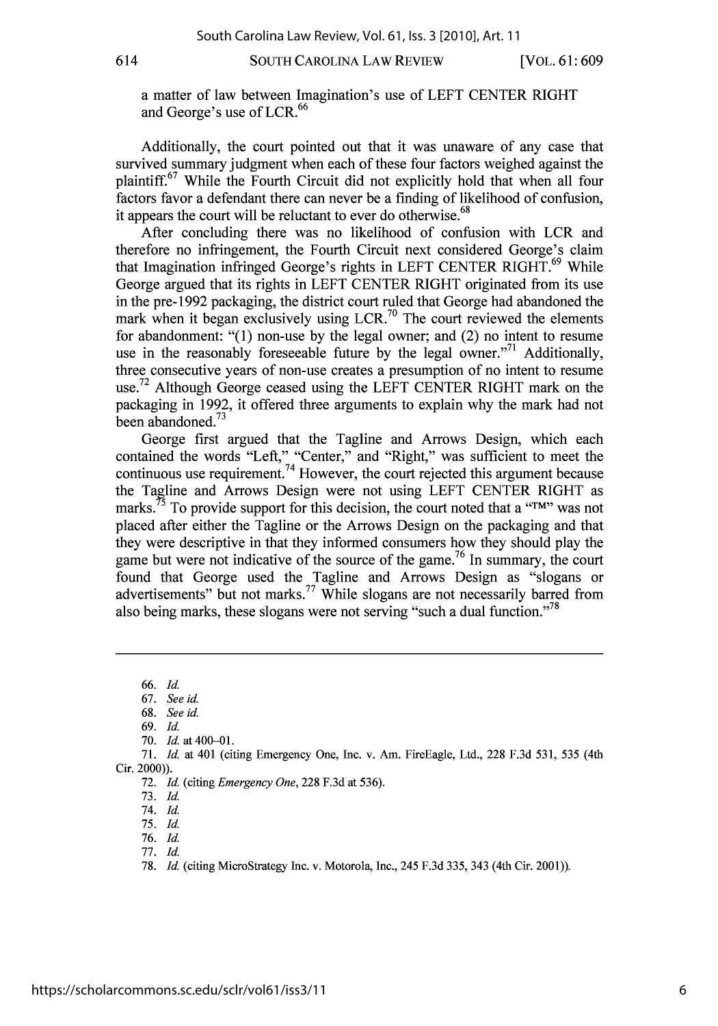**SOUTH CAROLINA LAW** REVIEW

a matter of law between Imagination's use of LEFT CENTER RIGHT **<sup>66</sup>** and George's use of LCR.

Additionally, the court pointed out that it was unaware of any case that survived summary judgment when each of these four factors weighed against the plaintiff.<sup>67</sup> While the Fourth Circuit did not explicitly hold that when all four factors favor a defendant there can never be a finding of likelihood of confusion, it appears the court will be reluctant to ever do otherwise.<sup>68</sup>

After concluding there was no likelihood of confusion with LCR and therefore no infringement, the Fourth Circuit next considered George's claim that Imagination infringed George's rights in LEFT CENTER RIGHT.<sup>69</sup> While George argued that its rights in LEFT CENTER RIGHT originated from its use in the pre-1992 packaging, the district court ruled that George had abandoned the mark when it began exclusively using LCR.<sup>70</sup> The court reviewed the elements for abandonment: "(1) non-use by the legal owner; and (2) no intent to resume use in the reasonably foreseeable future by the legal owner."<sup>71</sup> Additionally, three consecutive years of non-use creates a presumption of no intent to resume use.<sup>72</sup> Although George ceased using the LEFT CENTER RIGHT mark on the packaging in 1992, it offered three arguments to explain why the mark had not been abandoned.<sup>73</sup>

George first argued that the Tagline and Arrows Design, which each contained the words "Left," "Center," and "Right," was sufficient to meet the continuous use requirement.<sup>74</sup> However, the court rejected this argument because the Tagline and Arrows Design were not using LEFT CENTER RIGHT as marks.<sup>75</sup> To provide support for this decision, the court noted that a "TM" was not placed after either the Tagline or the Arrows Design on the packaging and that they were descriptive in that they informed consumers how they should play the game but were not indicative of the source of the game.<sup>76</sup> In summary, the court found that George used the Tagline and Arrows Design as "slogans or advertisements" but not marks.<sup>77</sup> While slogans are not necessarily barred from also being marks, these slogans were not serving "such a dual function."<sup>78</sup>

**66.** *Id.*

67. *See* id.

**68.** *See* id.

69. **Id.**

**70. Id.** at 400-01.

71. **Id.** at 401 (citing Emergency One, Inc. v. Am. FireEagle, Ltd., 228 F.3d 531, 535 (4th Cir. 2000)).

72. **Id.** (citing *Emergency One,* 228 F.3d at 536).

73. **Id.**

74. **Id.**

75. **Id.**

76. **Id.**

77. **Id.**

78. **Id.** (citing MicroStrategy Inc. v. Motorola, Inc., 245 F.3d 335, 343 (4th Cir. 2001)).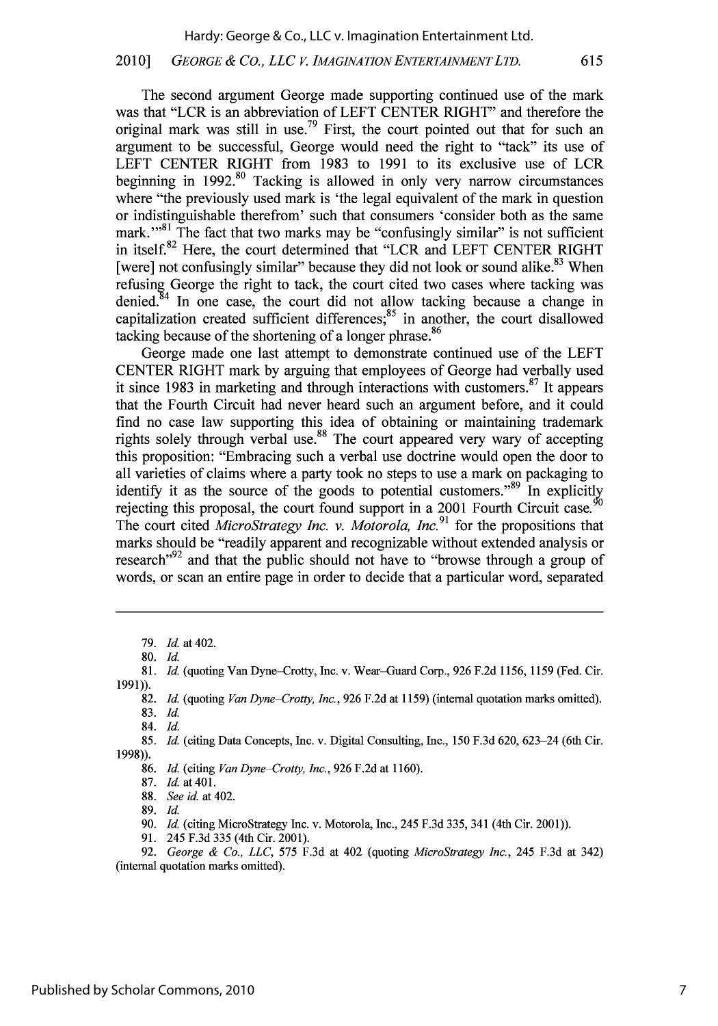#### 2010] *GEORGE & CO., LLC V. IMAGINATIONENTERTAINMENTLTD.* 615

The second argument George made supporting continued use of the mark was that "LCR is an abbreviation of LEFT CENTER RIGHT" and therefore the original mark was still in use.<sup>79</sup> First, the court pointed out that for such an argument to be successful, George would need the right to "tack" its use of LEFT CENTER RIGHT from 1983 to 1991 to its exclusive use of LCR beginning in  $1992$ <sup>80</sup> Tacking is allowed in only very narrow circumstances where "the previously used mark is 'the legal equivalent of the mark in question or indistinguishable therefrom' such that consumers 'consider both as the same mark."<sup>81</sup> The fact that two marks may be "confusingly similar" is not sufficient in itself.<sup>82</sup> Here, the court determined that "LCR and LEFT CENTER RIGHT [were] not confusingly similar" because they did not look or sound alike.<sup>83</sup> When refusing George the right to tack, the court cited two cases where tacking was denied. $84$  In one case, the court did not allow tacking because a change in capitalization created sufficient differences; $85$  in another, the court disallowed tacking because of the shortening of a longer phrase.<sup>86</sup>

George made one last attempt to demonstrate continued use of the LEFT CENTER RIGHT mark by arguing that employees of George had verbally used it since 1983 in marketing and through interactions with customers.<sup>87</sup> It appears that the Fourth Circuit had never heard such an argument before, and it could find no case law supporting this idea of obtaining or maintaining trademark rights solely through verbal use.<sup>88</sup> The court appeared very wary of accepting this proposition: "Embracing such a verbal use doctrine would open the door to all varieties of claims where a party took no steps to use a mark on packaging to identify it as the source of the goods to potential customers."<sup>89</sup> In explicitly rejecting this proposal, the court found support in a 2001 Fourth Circuit case.<sup>9</sup> The court cited *MicroStrategy Inc. v. Motorola, Inc.91* for the propositions that marks should be "readily apparent and recognizable without extended analysis or research<sup> $\frac{92}{2}$ </sup> and that the public should not have to "browse through a group of words, or scan an entire page in order to decide that a particular word, separated

80. **Id.**

81. *Id.* (quoting Van Dyne-Crotty, Inc. v. Wear-Guard Corp., 926 F.2d 1156, 1159 (Fed. Cir. 1991)).

82. *Id.* (quoting *Van Dyne Crotty, Inc.,* **926** F.2d at 1159) (internal quotation marks omitted). 83. **Id.**

84. *Id.*

85. *Id.* (citing Data Concepts, Inc. v. Digital Consulting, Inc., 150 F.3d 620, 623-24 (6th Cir. 1998)).

86. *Id.* (citing *Van Dyne Crotty, Inc.,* 926 F.2d at 1160).

87. *Id.* at **401.**

88. *See id.* at 402.

89. **Id.**

90. *Id.* (citing MicroStrategy Inc. v. Motorola, Inc., 245 F.3d 335, 341 (4th Cir. 2001)).

91. 245 F.3d 335 (4th Cir. 2001).

92. *George & Co., LLC,* 575 F.3d at 402 (quoting *MicroStrategy Inc.,* 245 F.3d at 342) (internal quotation marks omitted).

<sup>79.</sup> *Id.* at 402.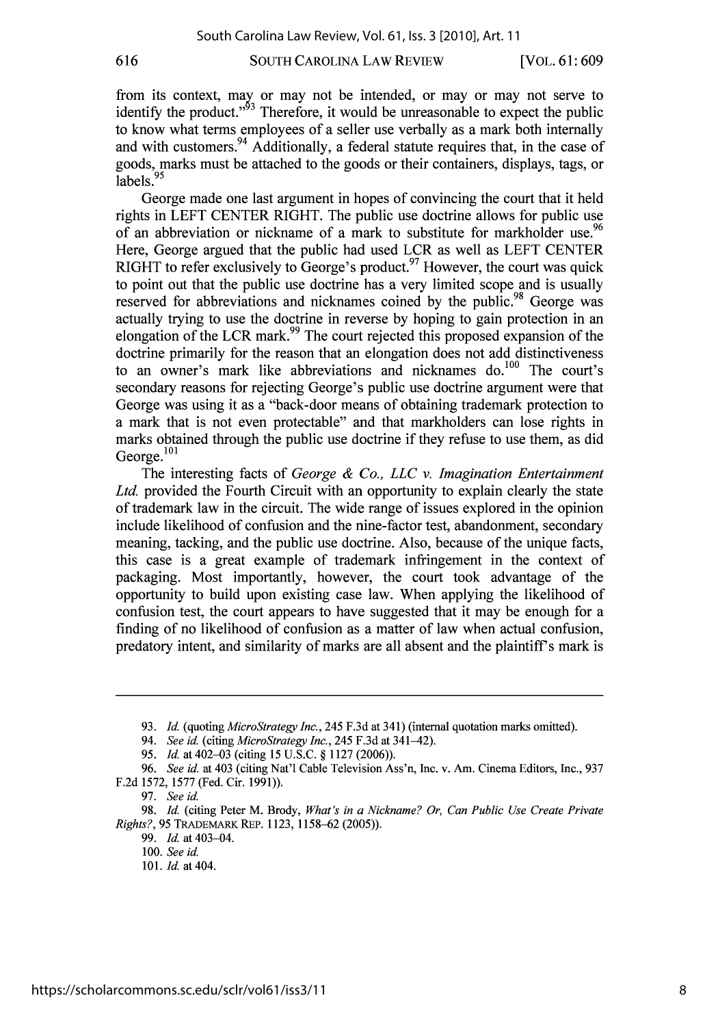616

SOUTH CAROLINA LAW REVIEW

[VOL. **61 : 609**

from its context, may or may not be intended, or may or may not serve to identify the product."<sup>53</sup> Therefore, it would be unreasonable to expect the public to know what terms employees of a seller use verbally as a mark both internally and with customers.<sup>94</sup> Additionally, a federal statute requires that, in the case of goods, marks must be attached to the goods or their containers, displays, tags, or labels.<sup>95</sup>

George made one last argument in hopes of convincing the court that it held rights in LEFT CENTER RIGHT. The public use doctrine allows for public use of an abbreviation or nickname of a mark to substitute for markholder use.<sup>96</sup> Here, George argued that the public had used LCR as well as LEFT CENTER RIGHT to refer exclusively to George's product. <sup>97</sup> However, the court was quick to point out that the public use doctrine has a very limited scope and is usually reserved for abbreviations and nicknames coined by the public.<sup>98</sup> George was actually trying to use the doctrine in reverse by hoping to gain protection in an elongation of the LCR mark.<sup>99</sup> The court rejected this proposed expansion of the doctrine primarily for the reason that an elongation does not add distinctiveness to an owner's mark like abbreviations and nicknames do.<sup>100</sup> The court's secondary reasons for rejecting George's public use doctrine argument were that George was using it as a "back-door means of obtaining trademark protection to a mark that is not even protectable" and that markholders can lose rights in marks obtained through the public use doctrine if they refuse to use them, as did George. $101$ 

The interesting facts of *George & Co., LLC v. Imagination Entertainment Ltd.* provided the Fourth Circuit with an opportunity to explain clearly the state of trademark law in the circuit. The wide range of issues explored in the opinion include likelihood of confusion and the nine-factor test, abandonment, secondary meaning, tacking, and the public use doctrine. Also, because of the unique facts, this case is a great example of trademark infringement in the context of packaging. Most importantly, however, the court took advantage of the opportunity to build upon existing case law. When applying the likelihood of confusion test, the court appears to have suggested that it may be enough for a finding of no likelihood of confusion as a matter of law when actual confusion, predatory intent, and similarity of marks are all absent and the plaintiff's mark is

99. *Id.* at 403-04.

<sup>93.</sup> *Id.* (quoting *MicroStrategy Inc.,* 245 F.3d at 341) (internal quotation marks omitted).

*<sup>94.</sup> See id.* (citing *MicroStrategy Inc.,* 245 F.3d at 341-42).

*<sup>95.</sup> Id.* at 402-03 (citing 15 U.S.C. § 1127 (2006)).

*<sup>96.</sup> See id.* at 403 (citing Nat'l Cable Television Ass'n, Inc. v. Am. Cinema Editors, Inc., 937 F.2d 1572, 1577 (Fed. Cir. 1991)).

<sup>97.</sup> *See id.*

<sup>98.</sup> *Id.* (citing Peter M. Brody, *What's in a Nickname? Or, Can Public Use Create Private Rights?,* 95 TRADEMARK REP. 1123, 1158-62 (2005)).

<sup>100.</sup> *See id.*

<sup>101.</sup> *Id.* at 404.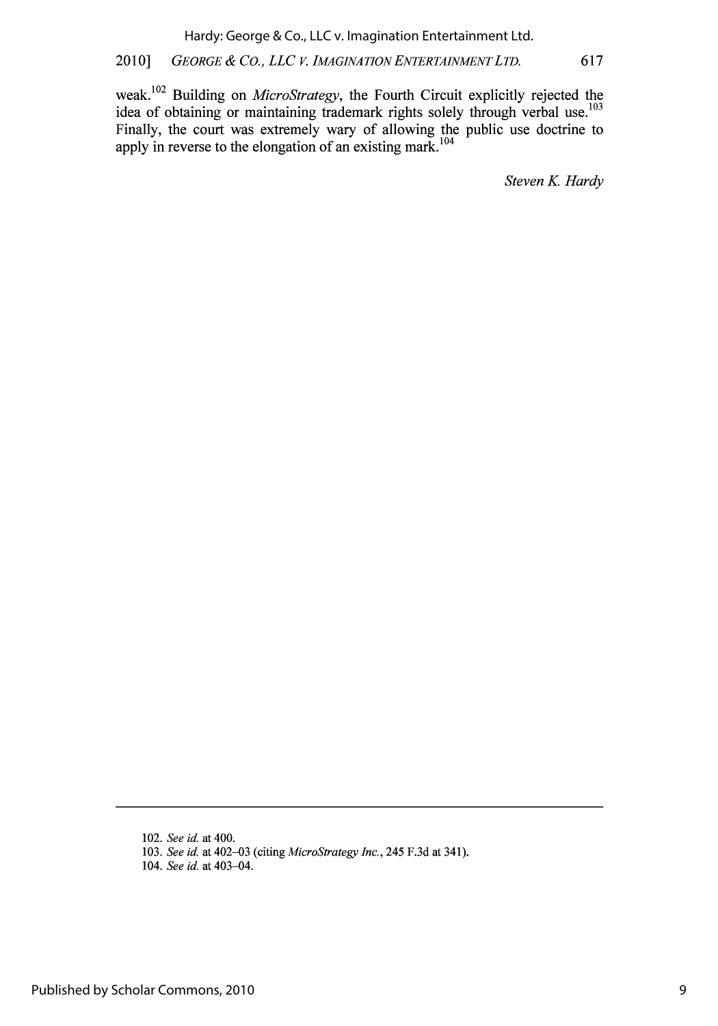## 2010] *GEORGE & CO., LLC V. IMAGINATIONENTERTAINMENTLTD.* 617

weak. <sup>1</sup> 02 Building on *MicroStrategy,* the Fourth Circuit explicitly rejected the idea of obtaining or maintaining trademark rights solely through verbal use.<sup>103</sup> Finally, the court was extremely wary of allowing the public use doctrine to apply in reverse to the elongation of an existing mark  $^{104}$ 

**Steven K. Hardy** 

<sup>102.</sup> *See id.* at 400.

<sup>103.</sup> *See id.* at 402-03 (citing *MicroStrategy Inc.,* 245 F.3d at 341).

<sup>104.</sup> *See id.* at 403-04.